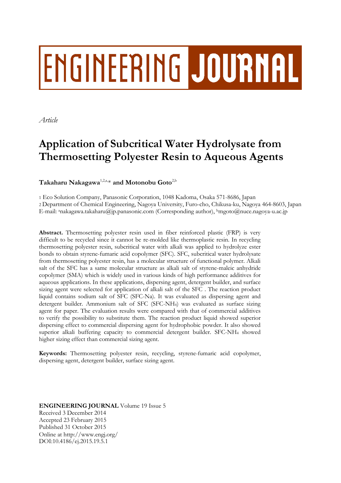# **ENGINEERING JOURNAL**

*Article*

# **Application of Subcritical Water Hydrolysate from Thermosetting Polyester Resin to Aqueous Agents**

# $\mathbf T$ akaharu Nakagawa $^{1,2,\text{a},\ast}$  and Motonobu Goto<sup>2,b</sup>

1 Eco Solution Company, Panasonic Corporation, 1048 Kadoma, Osaka 571-8686, Japan 2 Department of Chemical Engineering, Nagoya University, Furo-cho, Chikusa-ku, Nagoya 464-8603, Japan E-mail: anakagawa.takaharu@jp.panasonic.com (Corresponding author), bmgoto@nuce.nagoya-u.ac.jp

**Abstract.** Thermosetting polyester resin used in fiber reinforced plastic (FRP) is very difficult to be recycled since it cannot be re-molded like thermoplastic resin. In recycling thermosetting polyester resin, subcritical water with alkali was applied to hydrolyze ester bonds to obtain styrene-fumaric acid copolymer (SFC). SFC, subcritical water hydrolysate from thermosetting polyester resin, has a molecular structure of functional polymer. Alkali salt of the SFC has a same molecular structure as alkali salt of styrene-maleic anhydride copolymer (SMA) which is widely used in various kinds of high performance additives for aqueous applications. In these applications, dispersing agent, detergent builder, and surface sizing agent were selected for application of alkali salt of the SFC . The reaction product liquid contains sodium salt of SFC (SFC-Na). It was evaluated as dispersing agent and detergent builder. Ammonium salt of SFC (SFC-NH4) was evaluated as surface sizing agent for paper. The evaluation results were compared with that of commercial additives to verify the possibility to substitute them. The reaction product liquid showed superior dispersing effect to commercial dispersing agent for hydrophobic powder. It also showed superior alkali buffering capacity to commercial detergent builder. SFC-NH<sup>4</sup> showed higher sizing effect than commercial sizing agent.

**Keywords:** Thermosetting polyester resin, recycling, styrene-fumaric acid copolymer, dispersing agent, detergent builder, surface sizing agent.

**ENGINEERING JOURNAL** Volume 19 Issue 5 Received 3 December 2014 Accepted 23 February 2015 Published 31 October 2015 Online at http://www.engj.org/ DOI:10.4186/ej.2015.19.5.1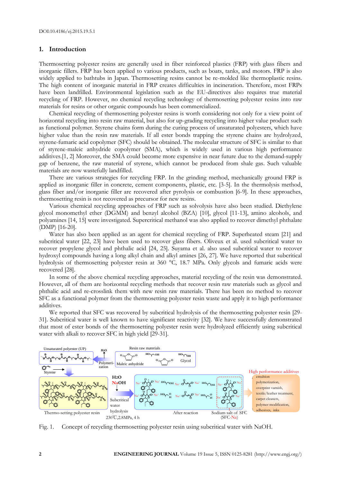# **1. Introduction**

Thermosetting polyester resins are generally used in fiber reinforced plastics (FRP) with glass fibers and inorganic fillers. FRP has been applied to various products, such as boats, tanks, and motors. FRP is also widely applied to bathtubs in Japan. Thermosetting resins cannot be re-molded like thermoplastic resins. The high content of inorganic material in FRP creates difficulties in incineration. Therefore, most FRPs have been landfilled. Environmental legislation such as the EU-directives also requires true material recycling of FRP. However, no chemical recycling technology of thermosetting polyester resins into raw materials for resins or other organic compounds has been commercialized.

Chemical recycling of thermosetting polyester resins is worth considering not only for a view point of horizontal recycling into resin raw material, but also for up-grading recycling into higher value product such as functional polymer. Styrene chains form during the curing process of unsaturated polyesters, which have higher value than the resin raw materials. If all ester bonds trapping the styrene chains are hydrolyzed, styrene-fumaric acid copolymer (SFC) should be obtained. The molecular structure of SFC is similar to that of styrene-maleic anhydride copolymer (SMA), which is widely used in various high performance additives.[1, 2] Moreover, the SMA could become more expensive in near future due to the demand-supply gap of benzene, the raw material of styrene, which cannot be produced from shale gas. Such valuable materials are now wastefully landfilled.

There are various strategies for recycling FRP. In the grinding method, mechanically ground FRP is applied as inorganic filler in concrete, cement components, plastic, etc. [3-5]. In the thermolysis method, glass fiber and/or inorganic filler are recovered after pyrolysis or combustion [6-9]. In these approaches, thermosetting resin is not recovered as precursor for new resins.

Various chemical recycling approaches of FRP such as solvolysis have also been studied. Diethylene glycol monomethyl ether (DGMM) and benzyl alcohol (BZA) [10], glycol [11-13], amino alcohols, and polyamines [14, 15] were investigated. Supercritical methanol was also applied to recover dimethyl phthalate (DMP) [16-20].

Water has also been applied as an agent for chemical recycling of FRP. Superheated steam [21] and subcritical water [22, 23] have been used to recover glass fibers. Oliveux et al. used subcritical water to recover propylene glycol and phthalic acid [24, 25]. Suyama et al. also used subcritical water to recover hydroxyl compounds having a long alkyl chain and alkyl amines [26, 27]. We have reported that subcritical hydrolysis of thermosetting polyester resin at 360 °C, 18.7 MPa. Only glycols and fumaric acids were recovered [28].

In some of the above chemical recycling approaches, material recycling of the resin was demonstrated. However, all of them are horizontal recycling methods that recover resin raw materials such as glycol and phthalic acid and re-crosslink them with new resin raw materials. There has been no method to recover SFC as a functional polymer from the thermosetting polyester resin waste and apply it to high performance additives.

We reported that SFC was recovered by subcritical hydrolysis of the thermosetting polyester resin [29- 31]. Subcritical water is well known to have significant reactivity [32]. We have successfully demonstrated that most of ester bonds of the thermosetting polyester resin were hydrolyzed efficiently using subcritical water with alkali to recover SFC in high yield [29-31].



Fig. 1. Concept of recycling thermosetting polyester resin using subcritical water with NaOH.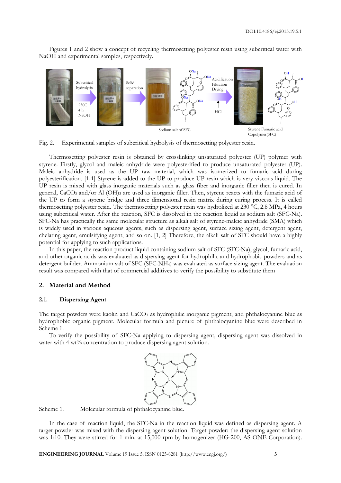Figures 1 and 2 show a concept of recycling thermosetting polyester resin using subcritical water with NaOH and experimental samples, respectively.



Fig. 2. Experimental samples of subcritical hydrolysis of thermosetting polyester resin.

Thermosetting polyester resin is obtained by crosslinking unsaturated polyester (UP) polymer with styrene. Firstly, glycol and maleic anhydride were polyesterified to produce unsaturated polyester (UP). Maleic anhydride is used as the UP raw material, which was isomerized to fumaric acid during polyesterification. [1-1] Styrene is added to the UP to produce UP resin which is very viscous liquid. The UP resin is mixed with glass inorganic materials such as glass fiber and inorganic filler then is cured. In general, CaCO<sub>3</sub> and/or Al (OH)<sub>3</sub> are used as inorganic filler. Then, styrene reacts with the fumaric acid of the UP to form a styrene bridge and three dimensional resin matrix during curing process. It is called thermosetting polyester resin. The thermosetting polyester resin was hydrolized at 230 °C, 2.8 MPa, 4 hours using subcritical water. After the reaction, SFC is dissolved in the reaction liquid as sodium salt (SFC-Na). SFC-Na has practically the same molecular structure as alkali salt of styrene-maleic anhydride (SMA) which is widely used in various aqueous agents, such as dispersing agent, surface sizing agent, detergent agent, chelating agent, emulsifying agent, and so on. [1, 2] Therefore, the alkali salt of SFC should have a highly potential for applying to such applications.

In this paper, the reaction product liquid containing sodium salt of SFC (SFC-Na), glycol, fumaric acid, and other organic acids was evaluated as dispersing agent for hydrophilic and hydrophobic powders and as detergent builder. Ammonium salt of SFC (SFC-NH4) was evaluated as surface sizing agent. The evaluation result was compared with that of commercial additives to verify the possibility to substitute them

# **2. Material and Method**

# **2.1. Dispersing Agent**

The target powders were kaolin and CaCO<sub>3</sub> as hydrophilic inorganic pigment, and phthalocyanine blue as hydrophobic organic pigment. Molecular formula and picture of phthalocyanine blue were described in Scheme 1.

To verify the possibility of SFC-Na applying to dispersing agent, dispersing agent was dissolved in water with 4 wt% concentration to produce dispersing agent solution.



Scheme 1. Molecular formula of phthalocyanine blue.

In the case of reaction liquid, the SFC-Na in the reaction liquid was defined as dispersing agent. A target powder was mixed with the dispersing agent solution. Target powder: the dispersing agent solution was 1:10. They were stirred for 1 min. at 15,000 rpm by homogenizer (HG-200, AS ONE Corporation).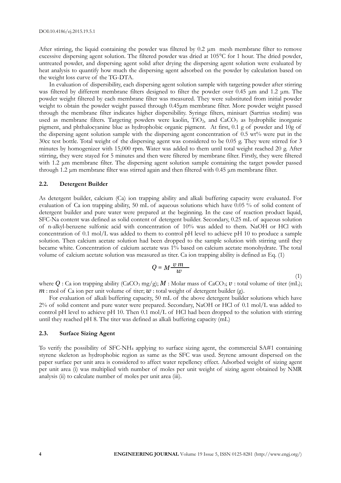After stirring, the liquid containing the powder was filtered by  $0.2 \mu m$  mesh membrane filter to remove excessive dispersing agent solution. The filtered powder was dried at 105°C for 1 hour. The dried powder, untreated powder, and dispersing agent solid after drying the dispersing agent solution were evaluated by heat analysis to quantify how much the dispersing agent adsorbed on the powder by calculation based on the weight loss curve of the TG-DTA.

In evaluation of dispersibility, each dispersing agent solution sample with targeting powder after stirring was filtered by different membrane filters designed to filter the powder over 0.45 μm and 1.2 μm. The powder weight filtered by each membrane filter was measured. They were substituted from initial powder weight to obtain the powder weight passed through 0.45μm membrane filter. More powder weight passed through the membrane filter indicates higher dispersibility. Syringe filters, minisart (Sartrius stedim) was used as membrane filters. Targeting powders were kaolin, TiO<sub>2</sub>, and CaCO<sub>3</sub> as hydrophilic inorganic pigment, and phthalocyanine blue as hydrophobic organic pigment. At first, 0.1 g of powder and 10g of the dispersing agent solution sample with the dispersing agent concentration of 0.5 wt% were put in the 30cc test bottle. Total weight of the dispersing agent was considered to be 0.05 g. They were stirred for 3 minutes by homogenizer with 15,000 rpm. Water was added to them until total weight reached 20 g. After stirring, they were stayed for 5 minutes and then were filtered by membrane filter. Firstly, they were filtered with 1.2 μm membrane filter. The dispersing agent solution sample containing the target powder passed through 1.2 μm membrane filter was stirred again and then filtered with 0.45 μm membrane filter.

#### **2.2. Detergent Builder**

As detergent builder, calcium (Ca) ion trapping ability and alkali buffering capacity were evaluated. For evaluation of Ca ion trapping ability, 50 mL of aqueous solutions which have 0.05 % of solid content of detergent builder and pure water were prepared at the beginning. In the case of reaction product liquid, SFC-Na content was defined as solid content of detergent builder. Secondary, 0.25 mL of aqueous solution of n-alkyl-benzene sulfonic acid with concentration of 10% was added to them. NaOH or HCl with concentration of 0.1 mol/L was added to them to control pH level to achieve pH 10 to produce a sample solution. Then calcium acetate solution had been dropped to the sample solution with stirring until they became white. Concentration of calcium acetate was 1% based on calcium acetate monohydrate. The total volume of calcium acetate solution was measured as titer. Ca ion trapping ability is defined as Eq. (1)

$$
Q = M \frac{\nu \, m}{\omega} \tag{1}
$$

where  $Q$ : Ca ion trapping ability (CaCO<sub>3</sub> mg/g);  $M$ : Molar mass of CaCO<sub>3</sub>;  $v$ : total volume of titer (mL);  $m:$  mol of Ca ion per unit volume of titer;  $w:$  total weight of detergent builder (g).

For evaluation of alkali buffering capacity, 50 mL of the above detergent builder solutions which have 2% of solid content and pure water were prepared. Secondary, NaOH or HCl of 0.1 mol/L was added to control pH level to achieve pH 10. Then 0.1 mol/L of HCl had been dropped to the solution with stirring until they reached pH 8. The titer was defined as alkali buffering capacity (mL)

# **2.3. Surface Sizing Agent**

To verify the possibility of SFC-NH<sup>4</sup> applying to surface sizing agent, the commercial SA#1 containing styrene skeleton as hydrophobic region as same as the SFC was used. Styrene amount dispersed on the paper surface per unit area is considered to affect water repellency effect. Adsorbed weight of sizing agent per unit area (i) was multiplied with number of moles per unit weight of sizing agent obtained by NMR analysis (ii) to calculate number of moles per unit area (iii).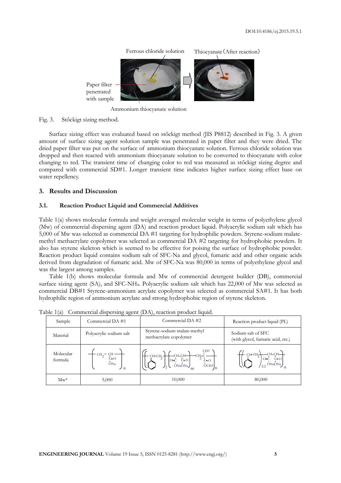Ferrous chloride solution Paper filter penetrated with sample Thiocyanate(After reaction)

Ammonium thiocyanate solution

#### Fig. 3. Stőckigt sizing method.

Surface sizing effect was evaluated based on stőckigt method (JIS P8812) described in Fig. 3. A given amount of surface sizing agent solution sample was penetrated in paper filter and they were dried. The dried paper filter was put on the surface of ammonium thiocyanate solution. Ferrous chloride solution was dropped and then reacted with ammonium thiocyanate solution to be converted to thiocyanate with color changing to red. The transient time of changing color to red was measured as stőckigt sizing degree and compared with commercial SD#1. Longer transient time indicates higher surface sizing effect base on water repellency.

# **3. Results and Discussion**

# **3.1. Reaction Product Liquid and Commercial Additives**

Table 1(a) shows molecular formula and weight averaged molecular weight in terms of polyethylene glycol (Mw) of commercial dispersing agent (DA) and reaction product liquid. Polyacrylic sodium salt which has 5,000 of Mw was selected as commercial DA #1 targeting for hydrophilic powders. Styrene-sodium malatemethyl methacrylate copolymer was selected as commercial DA #2 targeting for hydrophobic powders. It also has styrene skeleton which is seemed to be effective for poising the surface of hydrophobic powder. Reaction product liquid contains sodium salt of SFC-Na and glycol, fumaric acid and other organic acids derived from degradation of fumaric acid. Mw of SFC-Na was 80,000 in terms of polyethylene glycol and was the largest among samples.

Table 1(b) shows molecular formula and Mw of commercial detergent builder (DB), commercial surface sizing agent (SA), and SFC-NH4. Polyacrylic sodium salt which has 22,000 of Mw was selected as commercial DB#1 Styrene-ammonium acrylate copolymer was selected as commercial SA#1. It has both hydrophilic region of ammonium acrylate and strong hydrophobic region of styrene skeleton.

| $\sqrt{2}$           | $\cup$ $\cup$                                                                                       |                                                                                                                                                                                                                                                                        |                                                                                         |  |
|----------------------|-----------------------------------------------------------------------------------------------------|------------------------------------------------------------------------------------------------------------------------------------------------------------------------------------------------------------------------------------------------------------------------|-----------------------------------------------------------------------------------------|--|
| Sample               | Commercial DA #1                                                                                    | Commercial DA #2                                                                                                                                                                                                                                                       | Reaction product liquid (PL)<br>Sodium salt of SFC<br>(with glycol, fumaric acid, etc.) |  |
| Material             | Polyacrylic sodium salt                                                                             | Styrene-sodium malate-methyl<br>methacrylate copolymer                                                                                                                                                                                                                 |                                                                                         |  |
| Molecular<br>formula | $\begin{array}{c}\n\cdot C\text{H}_2 - C\text{H} - \\ \text{C=O} \\ \text{ONa}\n\end{array}$<br>ノ n | $\left\{\begin{matrix} & & & C H3 \\ \hline \\ \begin{matrix} C \end{matrix} & C \end{matrix} \end{matrix} \right\}_{n}^{CH-CH} \begin{matrix} & & & C H3 \\ & C \end{matrix} \begin{matrix} & & & \\ & C \end{matrix} \end{matrix} \right\}_{n}$<br>$-\text{CH-CH}_2$ |                                                                                         |  |
| $Mw^*$               | 5,000                                                                                               | 10,000                                                                                                                                                                                                                                                                 | 80,000                                                                                  |  |

Table 1(a) Commercial dispersing agent (DA), reaction product liquid.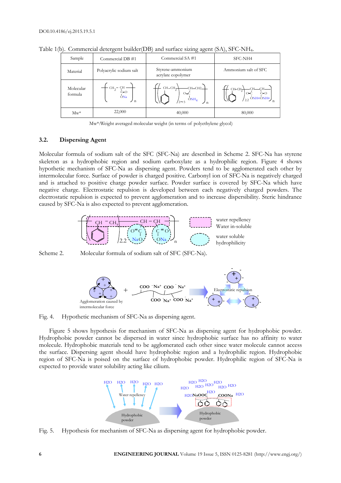| Sample               | Commercial DB #1        | Commercial SA#1                                   | SFC-NH4<br>Ammonium salt of SFC                                                         |  |
|----------------------|-------------------------|---------------------------------------------------|-----------------------------------------------------------------------------------------|--|
| Material             | Polyacrylic sodium salt | Styrene-ammonium<br>acrylate copolymer            |                                                                                         |  |
| Molecular<br>formula | C=O<br>ONa<br>ノ ก       | $CH-CH_2$<br>$-CH-CH2-$<br>$O = C$<br>$'2 \sim 3$ | CHCH <sub>2</sub><br>$\begin{bmatrix} 7 & C=0 \\ 0 & C=0 \end{bmatrix}$ ONH4ONH4<br>2.2 |  |
| $Mw^*$               | 22,000                  | 40,000                                            | 80,000                                                                                  |  |

Table 1(b). Commercial detergent builder(DB) and surface sizing agent (SA), SFC-NH4.

Mw\*:Weight averaged molecular weight (in terms of polyethylene glycol)

### **3.2. Dispersing Agent**

Molecular formula of sodium salt of the SFC (SFC-Na) are described in Scheme 2. SFC-Na has styrene skeleton as a hydrophobic region and sodium carboxylate as a hydrophilic region. Figure 4 shows hypothetic mechanism of SFC-Na as dispersing agent. Powders tend to be agglomerated each other by intermolecular force. Surface of powder is charged positive. Carbonyl ion of SFC-Na is negatively charged and is attached to positive charge powder surface. Powder surface is covered by SFC-Na which have negative charge. Electrostatic repulsion is developed between each negatively charged powders. The electrostatic repulsion is expected to prevent agglomeration and to increase dispersibility. Steric hindrance caused by SFC-Na is also expected to prevent agglomeration.



Scheme 2. Molecular formula of sodium salt of SFC (SFC-Na).



Fig. 4. Hypothetic mechanism of SFC-Na as dispersing agent.

Figure 5 shows hypothesis for mechanism of SFC-Na as dispersing agent for hydrophobic powder. Hydrophobic powder cannot be dispersed in water since hydrophobic surface has no affinity to water molecule. Hydrophobic materials tend to be agglomerated each other since water molecule cannot access the surface. Dispersing agent should have hydrophobic region and a hydrophilic region. Hydrophobic region of SFC-Na is poised on the surface of hydrophobic powder. Hydrophilic region of SFC-Na is expected to provide water solubility acting like cilium.



Fig. 5. Hypothesis for mechanism of SFC-Na as dispersing agent for hydrophobic powder.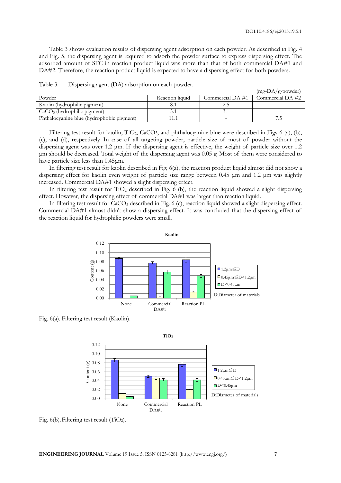Table 3 shows evaluation results of dispersing agent adsorption on each powder. As described in Fig. 4 and Fig. 5, the dispersing agent is required to adsorb the powder surface to express dispersing effect. The adsorbed amount of SFC in reaction product liquid was more than that of both commercial DA#1 and DA#2. Therefore, the reaction product liquid is expected to have a dispersing effect for both powders.

|                                           |                 |                  | $(mg-DA/g-power)$ |
|-------------------------------------------|-----------------|------------------|-------------------|
| Powder                                    | Reaction liquid | Commercial DA #1 | Commercial DA #2  |
| Kaolin (hydrophilic pigment)              |                 |                  |                   |
| $CaCO3$ (hydrophilic pigment)             |                 |                  |                   |
| Phthalocyanine blue (hydrophobic pigment) |                 |                  |                   |

Table 3. Dispersing agent (DA) adsorption on each powder.

Filtering test result for kaolin, TiO<sub>2</sub>, CaCO<sub>3</sub>, and phthalocyanine blue were described in Figs 6 (a), (b), (c), and (d), respectively. In case of all targeting powder, particle size of most of powder without the dispersing agent was over 1.2 μm. If the dispersing agent is effective, the weight of particle size over 1.2 μm should be decreased. Total weight of the dispersing agent was 0.05 g. Most of them were considered to have particle size less than 0.45μm.

In filtering test result for kaolin described in Fig. 6(a), the reaction product liquid almost did not show a dispersing effect for kaolin even weight of particle size range between 0.45 μm and 1.2 μm was slightly increased. Commercial DA#1 showed a slight dispersing effect.

In filtering test result for  $TiO<sub>2</sub>$  described in Fig. 6 (b), the reaction liquid showed a slight dispersing effect. However, the dispersing effect of commercial DA#1 was larger than reaction liquid.

In filtering test result for CaCO<sub>3</sub> described in Fig. 6 (c), reaction liquid showed a slight dispersing effect. Commercial DA#1 almost didn't show a dispersing effect. It was concluded that the dispersing effect of the reaction liquid for hydrophilic powders were small.



Fig. 6(a). Filtering test result (Kaolin).



Fig.  $6(b)$ . Filtering test result (TiO<sub>2</sub>).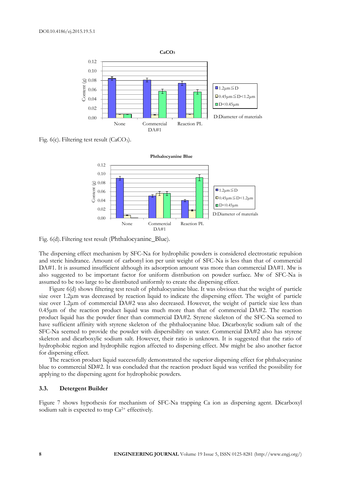

Fig.  $6(c)$ . Filtering test result (CaCO<sub>3</sub>).



Fig. 6(d).Filtering test result ([Phthalocyanine\\_Blue](file://upload.wikimedia.org/wikipedia/commons/2/21/Phthalocyanine_Blue_BN.png)).

The dispersing effect mechanism by SFC-Na for hydrophilic powders is considered electrostatic repulsion and steric hindrance. Amount of carbonyl ion per unit weight of SFC-Na is less than that of commercial DA#1. It is assumed insufficient although its adsorption amount was more than commercial DA#1. Mw is also suggested to be important factor for uniform distribution on powder surface. Mw of SFC-Na is assumed to be too large to be distributed uniformly to create the dispersing effect.

Figure 6(d) shows filtering test result of phthalocyanine blue. It was obvious that the weight of particle size over 1.2μm was decreased by reaction liquid to indicate the dispersing effect. The weight of particle size over 1.2μm of commercial DA#2 was also decreased. However, the weight of particle size less than 0.45μm of the reaction product liquid was much more than that of commercial DA#2. The reaction product liquid has the powder finer than commercial DA#2. Styrene skeleton of the SFC-Na seemed to have sufficient affinity with styrene skeleton of the phthalocyanine blue. Dicarboxylic sodium salt of the SFC-Na seemed to provide the powder with dispersibility on water. Commercial DA#2 also has styrene skeleton and dicarboxylic sodium salt. However, their ratio is unknown. It is suggested that the ratio of hydrophobic region and hydrophilic region affected to dispersing effect. Mw might be also another factor for dispersing effect.

The reaction product liquid successfully demonstrated the superior dispersing effect for phthalocyanine blue to commercial SD#2. It was concluded that the reaction product liquid was verified the possibility for applying to the dispersing agent for hydrophobic powders.

# **3.3. Detergent Builder**

Figure 7 shows hypothesis for mechanism of SFC-Na trapping Ca ion as dispersing agent. Dicarboxyl sodium salt is expected to trap Ca<sup>2+</sup> effectively.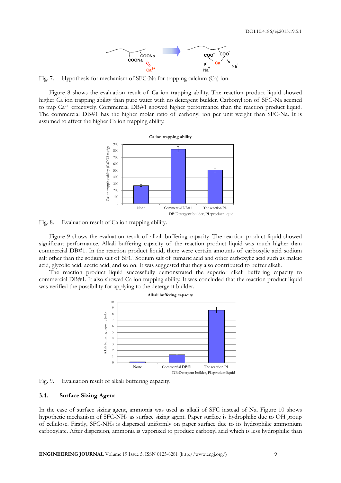

Fig. 7. Hypothesis for mechanism of SFC-Na for trapping calcium (Ca) ion.

Figure 8 shows the evaluation result of Ca ion trapping ability. The reaction product liquid showed higher Ca ion trapping ability than pure water with no detergent builder. Carbonyl ion of SFC-Na seemed to trap Ca<sup>2+</sup> effectively. Commercial DB#1 showed higher performance than the reaction product liquid. The commercial DB#1 has the higher molar ratio of carbonyl ion per unit weight than SFC-Na. It is assumed to affect the higher Ca ion trapping ability.



Fig. 8. Evaluation result of Ca ion trapping ability.

Figure 9 shows the evaluation result of alkali buffering capacity. The reaction product liquid showed significant performance. Alkali buffering capacity of the reaction product liquid was much higher than commercial DB#1. In the reaction product liquid, there were certain amounts of carboxylic acid sodium salt other than the sodium salt of SFC. Sodium salt of fumaric acid and other carboxylic acid such as maleic acid, glycolic acid, acetic acid, and so on. It was suggested that they also contributed to buffer alkali.

The reaction product liquid successfully demonstrated the superior alkali buffering capacity to commercial DB#1. It also showed Ca ion trapping ability. It was concluded that the reaction product liquid was verified the possibility for applying to the detergent builder.



Fig. 9. Evaluation result of alkali buffering capacity.

### **3.4. Surface Sizing Agent**

In the case of surface sizing agent, ammonia was used as alkali of SFC instead of Na. Figure 10 shows hypothetic mechanism of SFC-NH<sup>4</sup> as surface sizing agent. Paper surface is hydrophilic due to OH group of cellulose. Firstly, SFC-NH<sup>4</sup> is dispersed uniformly on paper surface due to its hydrophilic ammonium carboxylate. After dispersion, ammonia is vaporized to produce carboxyl acid which is less hydrophilic than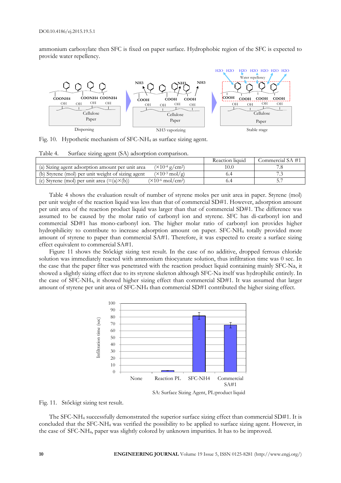ammonium carboxylate then SFC is fixed on paper surface. Hydrophobic region of the SFC is expected to provide water repellency.



Fig. 10. Hypothetic mechanism of SFC-NH<sup>4</sup> as surface sizing agent.

|                                                                                            | Reaction liquid | Commercial SA #1 |  |  |  |  |
|--------------------------------------------------------------------------------------------|-----------------|------------------|--|--|--|--|
| $(\times 10^{-4} \text{ g/cm}^2)$<br>(a) Sizing agent adsorption amount per unit area      |                 |                  |  |  |  |  |
| $(\times 10^{-3} \text{ mol/g})$<br>(b) Styrene (mol) per unit weight of sizing agent      |                 |                  |  |  |  |  |
| $(\times 10^{-6} \text{ mol/cm}^2)$<br>(c) Styrene (mol) per unit area $(=(a) \times (b))$ |                 |                  |  |  |  |  |

Table 4. Surface sizing agent (SA) adsorption comparison.

Table 4 shows the evaluation result of number of styrene moles per unit area in paper. Styrene (mol) per unit weight of the reaction liquid was less than that of commercial SD#1. However, adsorption amount per unit area of the reaction product liquid was larger than that of commercial SD#1. The difference was assumed to be caused by the molar ratio of carbonyl ion and styrene. SFC has di-carbonyl ion and commercial SD#1 has mono-carbonyl ion. The higher molar ratio of carbonyl ion provides higher hydrophilicity to contribute to increase adsorption amount on paper. SFC-NH<sup>4</sup> totally provided more amount of styrene to paper than commercial SA#1. Therefore, it was expected to create a surface sizing effect equivalent to commercial SA#1.

Figure 11 shows the Stőckigt sizing test result. In the case of no additive, dropped ferrous chloride solution was immediately reacted with ammonium thiocyanate solution, thus infiltration time was 0 sec. In the case that the paper filter was penetrated with the reaction product liquid containing mainly SFC-Na, it showed a slightly sizing effect due to its styrene skeleton although SFC-Na itself was hydrophilic entirely. In the case of SFC-NH4, it showed higher sizing effect than commercial SD#1. It was assumed that larger amount of styrene per unit area of SFC-NH<sup>4</sup> than commercial SD#1 contributed the higher sizing effect.



Fig. 11. Stőckigt sizing test result.

The SFC-NH<sup>4</sup> successfully demonstrated the superior surface sizing effect than commercial SD#1. It is concluded that the SFC-NH<sup>4</sup> was verified the possibility to be applied to surface sizing agent. However, in the case of SFC-NH4, paper was slightly colored by unknown impurities. It has to be improved.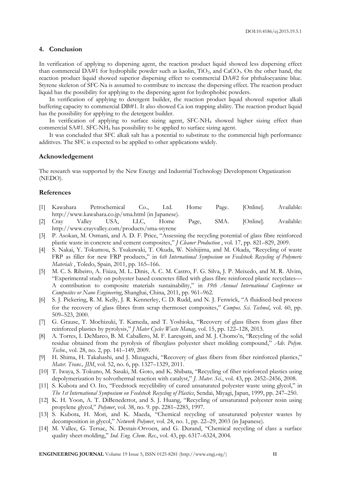### **4. Conclusion**

In verification of applying to dispersing agent, the reaction product liquid showed less dispersing effect than commercial DA#1 for hydrophilic powder such as kaolin, TiO<sub>2</sub>, and CaCO<sub>3</sub>. On the other hand, the reaction product liquid showed superior dispersing effect to commercial DA#2 for phthalocyanine blue. Styrene skeleton of SFC-Na is assumed to contribute to increase the dispersing effect. The reaction product liquid has the possibility for applying to the dispersing agent for hydrophobic powders.

In verification of applying to detergent builder, the reaction product liquid showed superior alkali buffering capacity to commercial DB#1. It also showed Ca ion trapping ability. The reaction product liquid has the possibility for applying to the detergent builder.

In verification of applying to surface sizing agent, SFC-NH<sup>4</sup> showed higher sizing effect than commercial SA#1. SFC-NH<sup>4</sup> has possibility to be applied to surface sizing agent.

It was concluded that SFC alkali salt has a potential to substitute to the commercial high performance additives. The SFC is expected to be applied to other applications widely.

## **Acknowledgement**

The research was supported by the New Energy and Industrial Technology Development Organization (NEDO).

### **References**

- [1] Kawahara Petrochemical Co., Ltd. Home Page. [Online]. Available: http://www.kawahara.co.jp/sma.html (in Japanese).
- [2] Cray Valley USA, LLC, Home Page, SMA. [Online]. Available: http://www.crayvalley.com/products/sma-styrene
- [3] P. Asokan, M. Osmani, and A. D. F. Price, "Assessing the recycling potential of glass fibre reinforced plastic waste in concrete and cement composites," *J Cleaner Production* , vol. 17, pp. 821–829, 2009.
- [4] S. Nakai, Y. Tokumou, S. Tsukawaki, T. Okuda, W. Nishijima, and M. Okada, "Recycling of waste FRP as filler for new FRP products," in 6*th International Symposium on Feedstock Recycling of Polymeric Materials* , Toledo, Spain, 2011, pp. 165–166.
- [5] M. C. S. Ribeiro, A. Fiúza, M. L. Dinis, A. C. M. Castro, F. G. Silva, J. P. Meixedo, and M. R. Alvim, "Experimental study on polyester based concretes filled with glass fibre reinforced plastic recyclates— A contribution to composite materials sustainability," in *19th Annual International Conference on Composites or Nano Engineering*, Shanghai, China, 2011, pp. 961–962.
- [6] S. J. Pickering, R. M. Kelly, J. R. Kennerley, C. D. Rudd, and N. J. Fenwick, "A fluidised-bed process for the recovery of glass fibres from scrap thermoset composites," *Compos. Sci. Technol*, vol. 60, pp. 509–523, 2000.
- [7] G. Grause, T. Mochizuki, T. Kameda, and T. Yoshioka, "Recovery of glass fibers from glass fiber reinforced plastics by pyrolysis," *J Mater Cycles Waste Manag*, vol. 15, pp. 122–128, 2013.
- [8] A. Torres, I. DeMarco, B. M. Caballero, M. F. Laresgoiti, and M. J. Chomo'n, "Recycling of the solid residue obtained from the pyrolysis of fiberglass polyester sheet molding compound," *Adv. Polym. Techn.*, vol. 28, no. 2, pp. 141–149, 2009.
- [9] H. Shima, H. Takahashi, and J. Mizuguchi, "Recovery of glass fibers from fiber reinforced plastics," *Mater. Trans., JIM*, vol. 52, no. 6, pp. 1327–1329, 2011.
- [10] T. Iwaya, S. Tokuno, M. Sasaki, M. Goto, and K. Shibata, "Recycling of fiber reinforced plastics using depolymerization by solvothermal reaction with catalyst," *J. Mater. Sci*., vol. 43, pp. 2452–2456, 2008.
- [11] S. Kubota and O. Ito, "Feedstock recyclibility of cured unsaturated polyester waste using glycol," in *The 1st International Symposium on Feedstock Recycling of Plastics*, Sendai, Miyagi, Japan, 1999, pp. 247–250.
- [12] K. H. Yoon, A. T. DiBenedettot, and S. J. Huang, "Recycling of unsaturated polyester resin using propylene glycol," *Polymer*, vol. 38, no. 9. pp. 2281–2285, 1997.
- [13] S. Kubota, H. Mori, and K. Maeda, "Chemical recycling of unsaturated polyester wastes by decomposition in glycol," *Network Polymer*, vol. 24, no. 1, pp. 22–29, 2003 (in Japanese).
- [14] M. Vallee, G. Tersac, N. Destais-Orvoen, and G. Durand, "Chemical recycling of class a surface quality sheet-molding," *Ind. Eng. Chem. Res*., vol. 43, pp. 6317–6324, 2004.